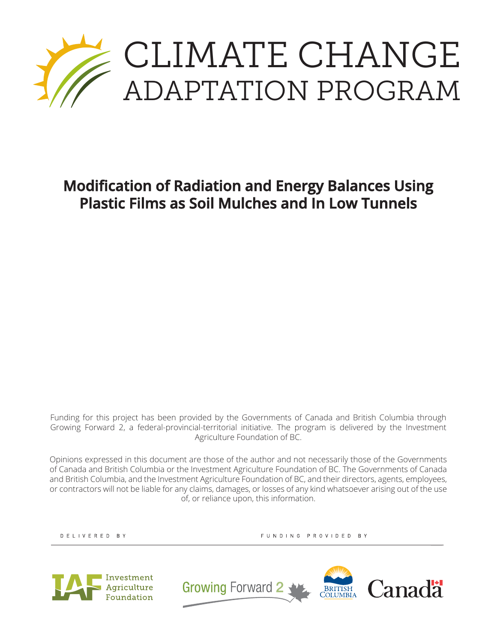

# **Modification of Radiation and Energy Balances Using Plastic Films as Soil Mulches and In Low Tunnels**

Funding for this project has been provided by the Governments of Canada and British Columbia through Growing Forward 2, a federal-provincial-territorial initiative. The program is delivered by the Investment Agriculture Foundation of BC.

Opinions expressed in this document are those of the author and not necessarily those of the Governments of Canada and British Columbia or the Investment Agriculture Foundation of BC. The Governments of Canada and British Columbia, and the Investment Agriculture Foundation of BC, and their directors, agents, employees, or contractors will not be liable for any claims, damages, or losses of any kind whatsoever arising out of the use of, or reliance upon, this information.

DELIVERED BY

FUNDING PROVIDED BY



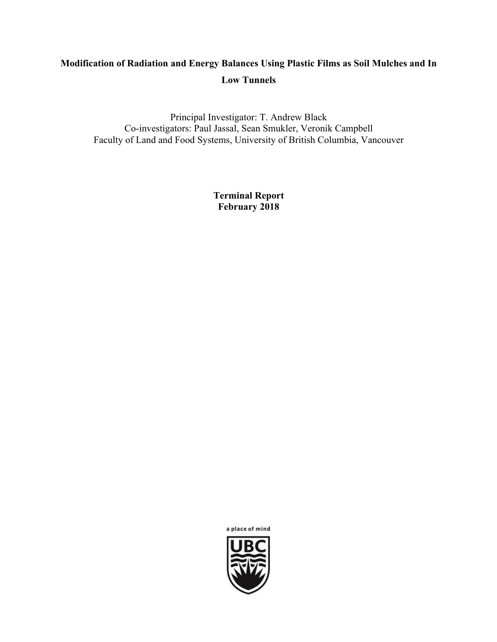# **Modification of Radiation and Energy Balances Using Plastic Films as Soil Mulches and In Low Tunnels**

Principal Investigator: T. Andrew Black Co-investigators: Paul Jassal, Sean Smukler, Veronik Campbell Faculty of Land and Food Systems, University of British Columbia, Vancouver

> **Terminal Report February 2018**

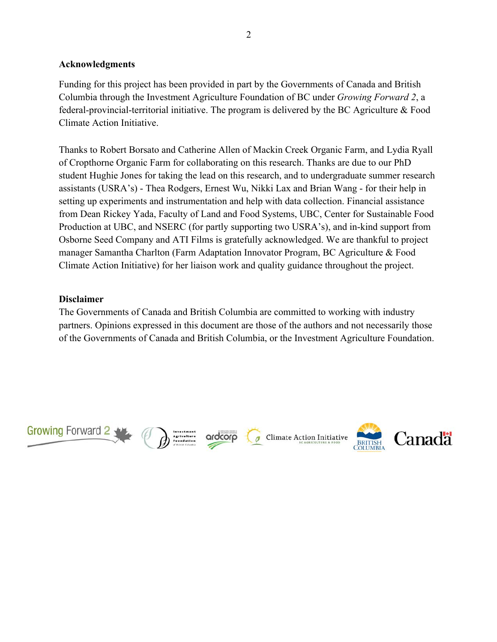#### **Acknowledgments**

Funding for this project has been provided in part by the Governments of Canada and British Columbia through the Investment Agriculture Foundation of BC under *Growing Forward 2*, a federal-provincial-territorial initiative. The program is delivered by the BC Agriculture & Food Climate Action Initiative.

Thanks to Robert Borsato and Catherine Allen of Mackin Creek Organic Farm, and Lydia Ryall of Cropthorne Organic Farm for collaborating on this research. Thanks are due to our PhD student Hughie Jones for taking the lead on this research, and to undergraduate summer research assistants (USRA's) - Thea Rodgers, Ernest Wu, Nikki Lax and Brian Wang - for their help in setting up experiments and instrumentation and help with data collection. Financial assistance from Dean Rickey Yada, Faculty of Land and Food Systems, UBC, Center for Sustainable Food Production at UBC, and NSERC (for partly supporting two USRA's), and in-kind support from Osborne Seed Company and ATI Films is gratefully acknowledged. We are thankful to project manager Samantha Charlton (Farm Adaptation Innovator Program, BC Agriculture & Food Climate Action Initiative) for her liaison work and quality guidance throughout the project.

#### **Disclaimer**

The Governments of Canada and British Columbia are committed to working with industry partners. Opinions expressed in this document are those of the authors and not necessarily those of the Governments of Canada and British Columbia, or the Investment Agriculture Foundation.

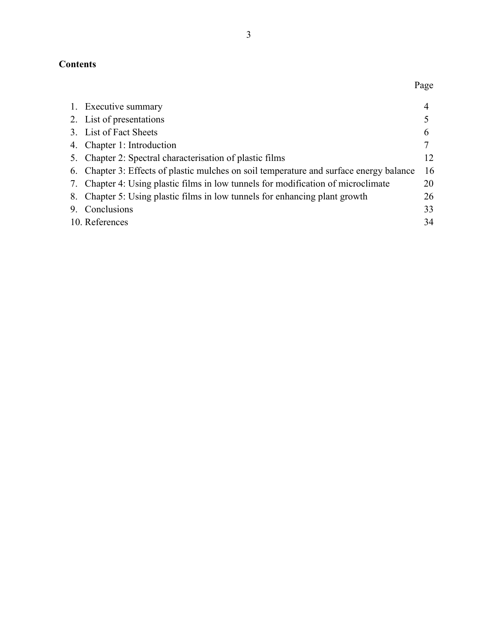# **Contents**

| 1. Executive summary                                                                    |    |
|-----------------------------------------------------------------------------------------|----|
| 2. List of presentations                                                                |    |
| 3. List of Fact Sheets                                                                  | 6  |
| 4. Chapter 1: Introduction                                                              |    |
| 5. Chapter 2: Spectral characterisation of plastic films                                | 12 |
| 6. Chapter 3: Effects of plastic mulches on soil temperature and surface energy balance | 16 |
| 7. Chapter 4: Using plastic films in low tunnels for modification of microclimate       | 20 |
| 8. Chapter 5: Using plastic films in low tunnels for enhancing plant growth             | 26 |
| 9. Conclusions                                                                          | 33 |
| 10. References                                                                          | 34 |
|                                                                                         |    |

Page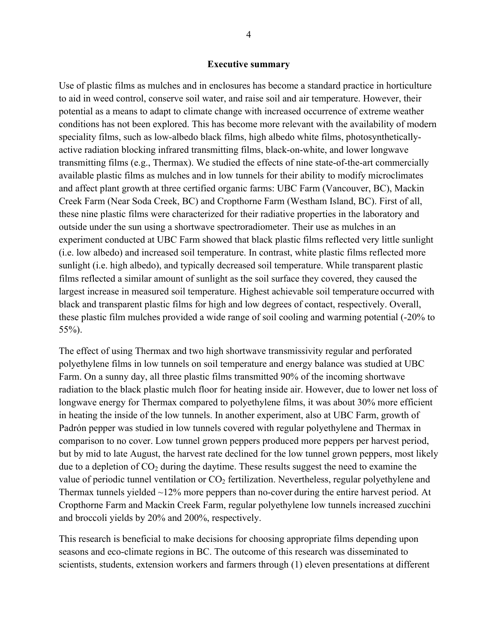#### **Executive summary**

Use of plastic films as mulches and in enclosures has become a standard practice in horticulture to aid in weed control, conserve soil water, and raise soil and air temperature. However, their potential as a means to adapt to climate change with increased occurrence of extreme weather conditions has not been explored. This has become more relevant with the availability of modern speciality films, such as low-albedo black films, high albedo white films, photosyntheticallyactive radiation blocking infrared transmitting films, black-on-white, and lower longwave transmitting films (e.g., Thermax). We studied the effects of nine state-of-the-art commercially available plastic films as mulches and in low tunnels for their ability to modify microclimates and affect plant growth at three certified organic farms: UBC Farm (Vancouver, BC), Mackin Creek Farm (Near Soda Creek, BC) and Cropthorne Farm (Westham Island, BC). First of all, these nine plastic films were characterized for their radiative properties in the laboratory and outside under the sun using a shortwave spectroradiometer. Their use as mulches in an experiment conducted at UBC Farm showed that black plastic films reflected very little sunlight (i.e. low albedo) and increased soil temperature. In contrast, white plastic films reflected more sunlight (i.e. high albedo), and typically decreased soil temperature. While transparent plastic films reflected a similar amount of sunlight as the soil surface they covered, they caused the largest increase in measured soil temperature. Highest achievable soil temperature occurred with black and transparent plastic films for high and low degrees of contact, respectively. Overall, these plastic film mulches provided a wide range of soil cooling and warming potential (-20% to 55%).

The effect of using Thermax and two high shortwave transmissivity regular and perforated polyethylene films in low tunnels on soil temperature and energy balance was studied at UBC Farm. On a sunny day, all three plastic films transmitted 90% of the incoming shortwave radiation to the black plastic mulch floor for heating inside air. However, due to lower net loss of longwave energy for Thermax compared to polyethylene films, it was about 30% more efficient in heating the inside of the low tunnels. In another experiment, also at UBC Farm, growth of Padrón pepper was studied in low tunnels covered with regular polyethylene and Thermax in comparison to no cover. Low tunnel grown peppers produced more peppers per harvest period, but by mid to late August, the harvest rate declined for the low tunnel grown peppers, most likely due to a depletion of  $CO<sub>2</sub>$  during the daytime. These results suggest the need to examine the value of periodic tunnel ventilation or  $CO<sub>2</sub>$  fertilization. Nevertheless, regular polyethylene and Thermax tunnels yielded ~12% more peppers than no-cover during the entire harvest period. At Cropthorne Farm and Mackin Creek Farm, regular polyethylene low tunnels increased zucchini and broccoli yields by 20% and 200%, respectively.

This research is beneficial to make decisions for choosing appropriate films depending upon seasons and eco-climate regions in BC. The outcome of this research was disseminated to scientists, students, extension workers and farmers through (1) eleven presentations at different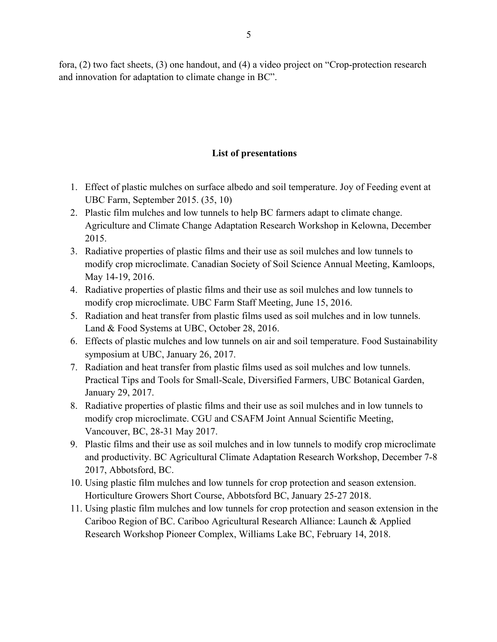fora, (2) two fact sheets, (3) one handout, and (4) a video project on "Crop-protection research and innovation for adaptation to climate change in BC".

### **List of presentations**

- 1. Effect of plastic mulches on surface albedo and soil temperature. Joy of Feeding event at UBC Farm, September 2015. (35, 10)
- 2. Plastic film mulches and low tunnels to help BC farmers adapt to climate change. Agriculture and Climate Change Adaptation Research Workshop in Kelowna, December 2015.
- 3. Radiative properties of plastic films and their use as soil mulches and low tunnels to modify crop microclimate. Canadian Society of Soil Science Annual Meeting, Kamloops, May 14-19, 2016.
- 4. Radiative properties of plastic films and their use as soil mulches and low tunnels to modify crop microclimate. UBC Farm Staff Meeting, June 15, 2016.
- 5. Radiation and heat transfer from plastic films used as soil mulches and in low tunnels. Land & Food Systems at UBC, October 28, 2016.
- 6. Effects of plastic mulches and low tunnels on air and soil temperature. Food Sustainability symposium at UBC, January 26, 2017.
- 7. Radiation and heat transfer from plastic films used as soil mulches and low tunnels. Practical Tips and Tools for Small-Scale, Diversified Farmers, UBC Botanical Garden, January 29, 2017.
- 8. Radiative properties of plastic films and their use as soil mulches and in low tunnels to modify crop microclimate. CGU and CSAFM Joint Annual Scientific Meeting, Vancouver, BC, 28-31 May 2017.
- 9. Plastic films and their use as soil mulches and in low tunnels to modify crop microclimate and productivity. BC Agricultural Climate Adaptation Research Workshop, December 7-8 2017, Abbotsford, BC.
- 10. Using plastic film mulches and low tunnels for crop protection and season extension. Horticulture Growers Short Course, Abbotsford BC, January 25-27 2018.
- 11. Using plastic film mulches and low tunnels for crop protection and season extension in the Cariboo Region of BC. Cariboo Agricultural Research Alliance: Launch & Applied Research Workshop Pioneer Complex, Williams Lake BC, February 14, 2018.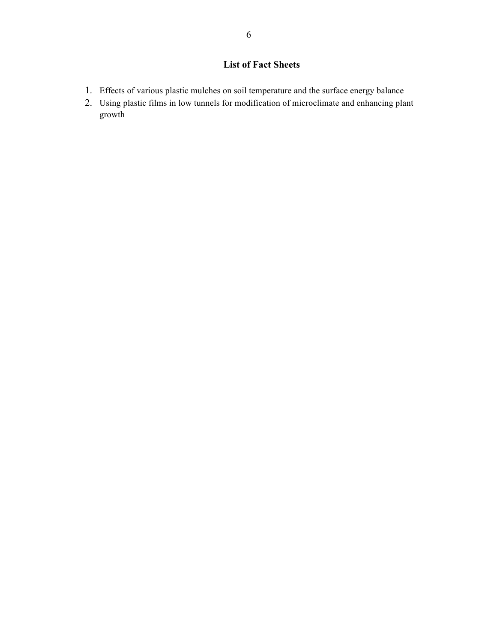## **List of Fact Sheets**

- 1. Effects of various plastic mulches on soil temperature and the surface energy balance
- 2. Using plastic films in low tunnels for modification of microclimate and enhancing plant growth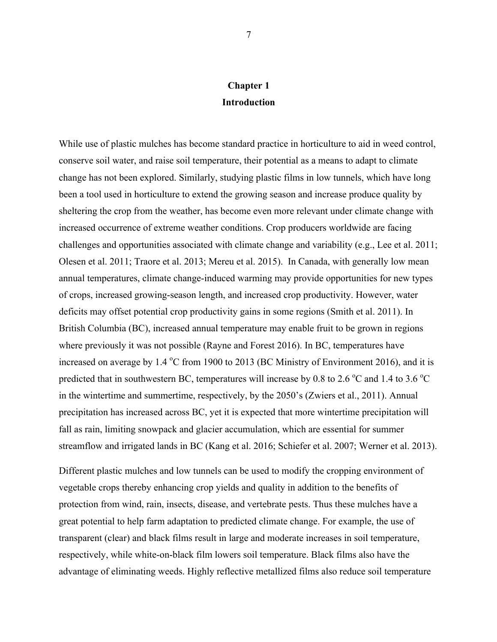# **Chapter 1 Introduction**

While use of plastic mulches has become standard practice in horticulture to aid in weed control, conserve soil water, and raise soil temperature, their potential as a means to adapt to climate change has not been explored. Similarly, studying plastic films in low tunnels, which have long been a tool used in horticulture to extend the growing season and increase produce quality by sheltering the crop from the weather, has become even more relevant under climate change with increased occurrence of extreme weather conditions. Crop producers worldwide are facing challenges and opportunities associated with climate change and variability (e.g., Lee et al. 2011; Olesen et al. 2011; Traore et al. 2013; Mereu et al. 2015). In Canada, with generally low mean annual temperatures, climate change-induced warming may provide opportunities for new types of crops, increased growing-season length, and increased crop productivity. However, water deficits may offset potential crop productivity gains in some regions (Smith et al. 2011). In British Columbia (BC), increased annual temperature may enable fruit to be grown in regions where previously it was not possible (Rayne and Forest 2016). In BC, temperatures have increased on average by 1.4 °C from 1900 to 2013 (BC Ministry of Environment 2016), and it is predicted that in southwestern BC, temperatures will increase by 0.8 to 2.6  $\degree$ C and 1.4 to 3.6  $\degree$ C in the wintertime and summertime, respectively, by the 2050's (Zwiers et al., 2011). Annual precipitation has increased across BC, yet it is expected that more wintertime precipitation will fall as rain, limiting snowpack and glacier accumulation, which are essential for summer streamflow and irrigated lands in BC (Kang et al. 2016; Schiefer et al. 2007; Werner et al. 2013).

Different plastic mulches and low tunnels can be used to modify the cropping environment of vegetable crops thereby enhancing crop yields and quality in addition to the benefits of protection from wind, rain, insects, disease, and vertebrate pests. Thus these mulches have a great potential to help farm adaptation to predicted climate change. For example, the use of transparent (clear) and black films result in large and moderate increases in soil temperature, respectively, while white-on-black film lowers soil temperature. Black films also have the advantage of eliminating weeds. Highly reflective metallized films also reduce soil temperature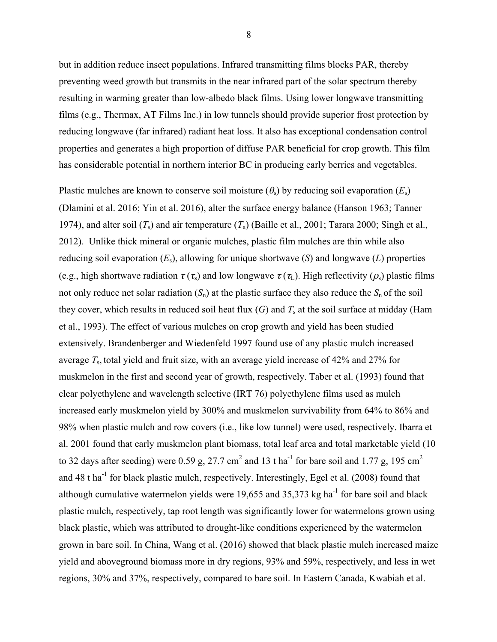but in addition reduce insect populations. Infrared transmitting films blocks PAR, thereby preventing weed growth but transmits in the near infrared part of the solar spectrum thereby resulting in warming greater than low-albedo black films. Using lower longwave transmitting films (e.g., Thermax, AT Films Inc.) in low tunnels should provide superior frost protection by reducing longwave (far infrared) radiant heat loss. It also has exceptional condensation control properties and generates a high proportion of diffuse PAR beneficial for crop growth. This film has considerable potential in northern interior BC in producing early berries and vegetables.

Plastic mulches are known to conserve soil moisture  $(\theta_s)$  by reducing soil evaporation  $(E_s)$ (Dlamini et al. 2016; Yin et al. 2016), alter the surface energy balance (Hanson 1963; Tanner 1974), and alter soil  $(T_s)$  and air temperature  $(T_a)$  (Baille et al., 2001; Tarara 2000; Singh et al., 2012). Unlike thick mineral or organic mulches, plastic film mulches are thin while also reducing soil evaporation (*E*s), allowing for unique shortwave (*S*) and longwave (*L*) properties (e.g., high shortwave radiation  $\tau(\tau_s)$  and low longwave  $\tau(\tau_L)$ . High reflectivity ( $\rho_s$ ) plastic films not only reduce net solar radiation  $(S_n)$  at the plastic surface they also reduce the  $S_n$  of the soil they cover, which results in reduced soil heat flux  $(G)$  and  $T_s$  at the soil surface at midday (Ham et al., 1993). The effect of various mulches on crop growth and yield has been studied extensively. Brandenberger and Wiedenfeld 1997 found use of any plastic mulch increased average *T*s, total yield and fruit size, with an average yield increase of 42% and 27% for muskmelon in the first and second year of growth, respectively. Taber et al. (1993) found that clear polyethylene and wavelength selective (IRT 76) polyethylene films used as mulch increased early muskmelon yield by 300% and muskmelon survivability from 64% to 86% and 98% when plastic mulch and row covers (i.e., like low tunnel) were used, respectively. Ibarra et al. 2001 found that early muskmelon plant biomass, total leaf area and total marketable yield (10 to 32 days after seeding) were 0.59 g, 27.7 cm<sup>2</sup> and 13 t ha<sup>-1</sup> for bare soil and 1.77 g, 195 cm<sup>2</sup> and 48 t ha<sup>-1</sup> for black plastic mulch, respectively. Interestingly, Egel et al. (2008) found that although cumulative watermelon yields were  $19,655$  and  $35,373$  kg ha<sup>-1</sup> for bare soil and black plastic mulch, respectively, tap root length was significantly lower for watermelons grown using black plastic, which was attributed to drought-like conditions experienced by the watermelon grown in bare soil. In China, Wang et al. (2016) showed that black plastic mulch increased maize yield and aboveground biomass more in dry regions, 93% and 59%, respectively, and less in wet regions, 30% and 37%, respectively, compared to bare soil. In Eastern Canada, Kwabiah et al.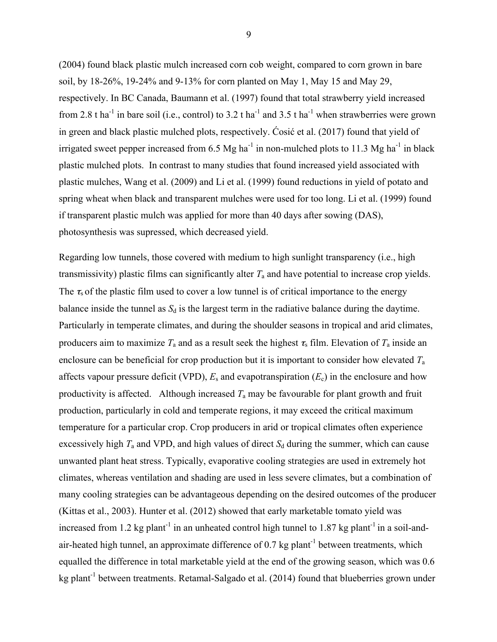(2004) found black plastic mulch increased corn cob weight, compared to corn grown in bare soil, by 18-26%, 19-24% and 9-13% for corn planted on May 1, May 15 and May 29, respectively. In BC Canada, Baumann et al. (1997) found that total strawberry yield increased from 2.8 t ha<sup>-1</sup> in bare soil (i.e., control) to 3.2 t ha<sup>-1</sup> and 3.5 t ha<sup>-1</sup> when strawberries were grown in green and black plastic mulched plots, respectively. Ćosić et al. (2017) found that yield of irrigated sweet pepper increased from 6.5 Mg ha<sup>-1</sup> in non-mulched plots to 11.3 Mg ha<sup>-1</sup> in black plastic mulched plots. In contrast to many studies that found increased yield associated with plastic mulches, Wang et al. (2009) and Li et al. (1999) found reductions in yield of potato and spring wheat when black and transparent mulches were used for too long. Li et al. (1999) found if transparent plastic mulch was applied for more than 40 days after sowing (DAS), photosynthesis was supressed, which decreased yield.

Regarding low tunnels, those covered with medium to high sunlight transparency (i.e., high transmissivity) plastic films can significantly alter  $T_a$  and have potential to increase crop yields. The  $\tau_s$  of the plastic film used to cover a low tunnel is of critical importance to the energy balance inside the tunnel as  $S_d$  is the largest term in the radiative balance during the daytime. Particularly in temperate climates, and during the shoulder seasons in tropical and arid climates, producers aim to maximize  $T_a$  and as a result seek the highest  $\tau_s$  film. Elevation of  $T_a$  inside an enclosure can be beneficial for crop production but it is important to consider how elevated *T*<sup>a</sup> affects vapour pressure deficit (VPD),  $E_s$  and evapotranspiration  $(E_c)$  in the enclosure and how productivity is affected. Although increased  $T_a$  may be favourable for plant growth and fruit production, particularly in cold and temperate regions, it may exceed the critical maximum temperature for a particular crop. Crop producers in arid or tropical climates often experience excessively high  $T_a$  and VPD, and high values of direct  $S_d$  during the summer, which can cause unwanted plant heat stress. Typically, evaporative cooling strategies are used in extremely hot climates, whereas ventilation and shading are used in less severe climates, but a combination of many cooling strategies can be advantageous depending on the desired outcomes of the producer (Kittas et al., 2003). Hunter et al. (2012) showed that early marketable tomato yield was increased from 1.2 kg plant<sup>-1</sup> in an unheated control high tunnel to 1.87 kg plant<sup>-1</sup> in a soil-andair-heated high tunnel, an approximate difference of  $0.7 \text{ kg plant}^{-1}$  between treatments, which equalled the difference in total marketable yield at the end of the growing season, which was 0.6 kg plant<sup>-1</sup> between treatments. Retamal-Salgado et al. (2014) found that blueberries grown under

9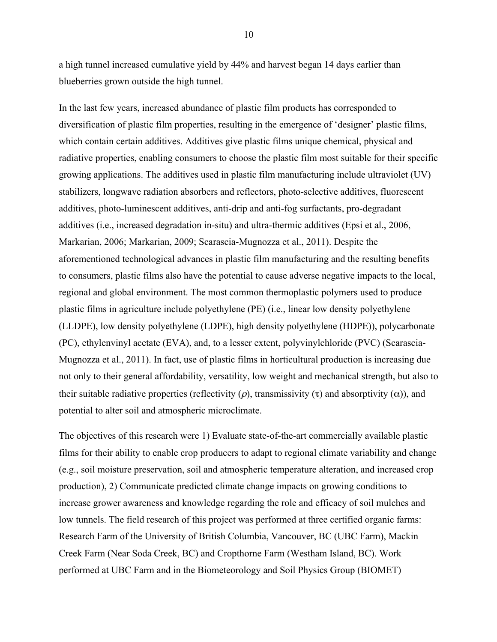a high tunnel increased cumulative yield by 44% and harvest began 14 days earlier than blueberries grown outside the high tunnel.

In the last few years, increased abundance of plastic film products has corresponded to diversification of plastic film properties, resulting in the emergence of 'designer' plastic films, which contain certain additives. Additives give plastic films unique chemical, physical and radiative properties, enabling consumers to choose the plastic film most suitable for their specific growing applications. The additives used in plastic film manufacturing include ultraviolet (UV) stabilizers, longwave radiation absorbers and reflectors, photo-selective additives, fluorescent additives, photo-luminescent additives, anti-drip and anti-fog surfactants, pro-degradant additives (i.e., increased degradation in-situ) and ultra-thermic additives (Epsi et al., 2006, Markarian, 2006; Markarian, 2009; Scarascia-Mugnozza et al., 2011). Despite the aforementioned technological advances in plastic film manufacturing and the resulting benefits to consumers, plastic films also have the potential to cause adverse negative impacts to the local, regional and global environment. The most common thermoplastic polymers used to produce plastic films in agriculture include polyethylene (PE) (i.e., linear low density polyethylene (LLDPE), low density polyethylene (LDPE), high density polyethylene (HDPE)), polycarbonate (PC), ethylenvinyl acetate (EVA), and, to a lesser extent, polyvinylchloride (PVC) (Scarascia-Mugnozza et al., 2011). In fact, use of plastic films in horticultural production is increasing due not only to their general affordability, versatility, low weight and mechanical strength, but also to their suitable radiative properties (reflectivity (ρ), transmissivity (τ) and absorptivity ( $\alpha$ )), and potential to alter soil and atmospheric microclimate.

The objectives of this research were 1) Evaluate state-of-the-art commercially available plastic films for their ability to enable crop producers to adapt to regional climate variability and change (e.g., soil moisture preservation, soil and atmospheric temperature alteration, and increased crop production), 2) Communicate predicted climate change impacts on growing conditions to increase grower awareness and knowledge regarding the role and efficacy of soil mulches and low tunnels. The field research of this project was performed at three certified organic farms: Research Farm of the University of British Columbia, Vancouver, BC (UBC Farm), Mackin Creek Farm (Near Soda Creek, BC) and Cropthorne Farm (Westham Island, BC). Work performed at UBC Farm and in the Biometeorology and Soil Physics Group (BIOMET)

10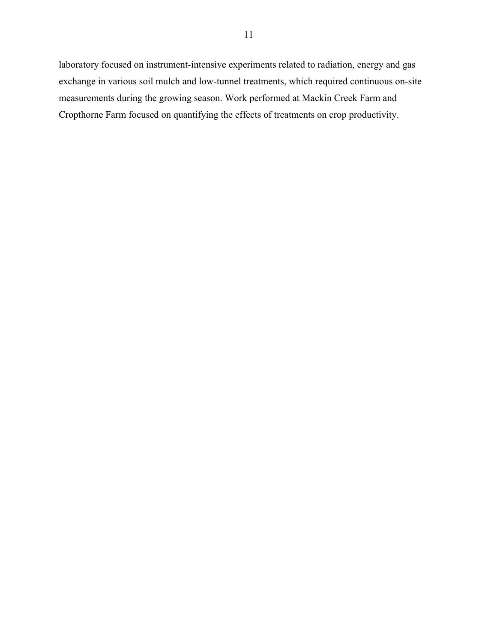laboratory focused on instrument-intensive experiments related to radiation, energy and gas exchange in various soil mulch and low-tunnel treatments, which required continuous on-site measurements during the growing season. Work performed at Mackin Creek Farm and Cropthorne Farm focused on quantifying the effects of treatments on crop productivity.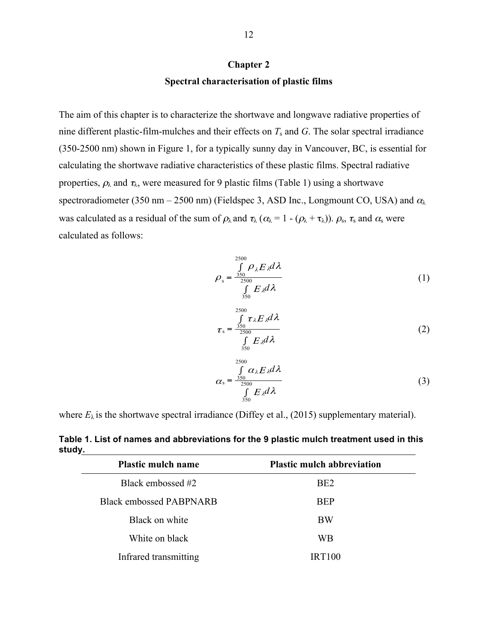#### **Chapter 2**

#### **Spectral characterisation of plastic films**

The aim of this chapter is to characterize the shortwave and longwave radiative properties of nine different plastic-film-mulches and their effects on *T*s and *G*. The solar spectral irradiance (350-2500 nm) shown in Figure 1, for a typically sunny day in Vancouver, BC, is essential for calculating the shortwave radiative characteristics of these plastic films. Spectral radiative properties,  $\rho_{\lambda}$  and  $\tau_{\lambda}$ , were measured for 9 plastic films (Table 1) using a shortwave spectroradiometer (350 nm – 2500 nm) (Fieldspec 3, ASD Inc., Longmount CO, USA) and  $\alpha_{\lambda}$ was calculated as a residual of the sum of  $\rho_{\lambda}$  and  $\tau_{\lambda}$  ( $\alpha_{\lambda} = 1 - (\rho_{\lambda} + \tau_{\lambda})$ ).  $\rho_s$ ,  $\tau_s$  and  $\alpha_s$  were calculated as follows:

$$
\rho_{s} = \frac{\int_{350}^{2500} \rho_{\lambda} E_{\lambda} d\lambda}{\int_{350}^{2500} E_{\lambda} d\lambda}
$$
 (1)

$$
\tau_{\rm s} = \frac{\int_{350}^{2500} \tau_{\lambda} E_{\lambda} d\lambda}{\int_{350}^{2500} E_{\lambda} d\lambda}
$$
 (2)

$$
\alpha_{s} = \frac{\int_{350}^{2500} \alpha_{\lambda} E_{\lambda} d\lambda}{\int_{350}^{6} E_{\lambda} d\lambda}
$$
 (3)

where  $E_{\lambda}$  is the shortwave spectral irradiance (Diffey et al., (2015) supplementary material).

**Plastic mulch name Plastic mulch abbreviation**  Black embossed #2 BE2 Black embossed PABPNARB BEP Black on white BW White on black WB Infrared transmitting IRT100

**Table 1. List of names and abbreviations for the 9 plastic mulch treatment used in this study.**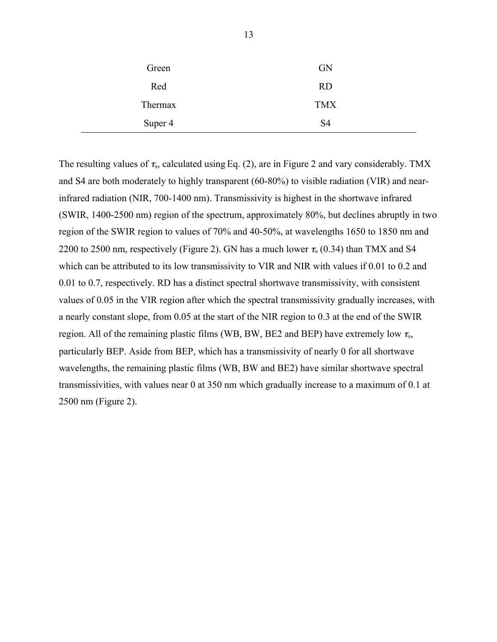| Green   | <b>GN</b>      |
|---------|----------------|
| Red     | <b>RD</b>      |
| Thermax | <b>TMX</b>     |
| Super 4 | S <sub>4</sub> |

The resulting values of  $\tau_s$ , calculated using Eq. (2), are in Figure 2 and vary considerably. TMX and S4 are both moderately to highly transparent (60-80%) to visible radiation (VIR) and nearinfrared radiation (NIR, 700-1400 nm). Transmissivity is highest in the shortwave infrared (SWIR, 1400-2500 nm) region of the spectrum, approximately 80%, but declines abruptly in two region of the SWIR region to values of 70% and 40-50%, at wavelengths 1650 to 1850 nm and 2200 to 2500 nm, respectively (Figure 2). GN has a much lower  $\tau_s$  (0.34) than TMX and S4 which can be attributed to its low transmissivity to VIR and NIR with values if 0.01 to 0.2 and 0.01 to 0.7, respectively. RD has a distinct spectral shortwave transmissivity, with consistent values of 0.05 in the VIR region after which the spectral transmissivity gradually increases, with a nearly constant slope, from 0.05 at the start of the NIR region to 0.3 at the end of the SWIR region. All of the remaining plastic films (WB, BW, BE2 and BEP) have extremely low  $\tau_{s}$ , particularly BEP. Aside from BEP, which has a transmissivity of nearly 0 for all shortwave wavelengths, the remaining plastic films (WB, BW and BE2) have similar shortwave spectral transmissivities, with values near 0 at 350 nm which gradually increase to a maximum of 0.1 at 2500 nm (Figure 2).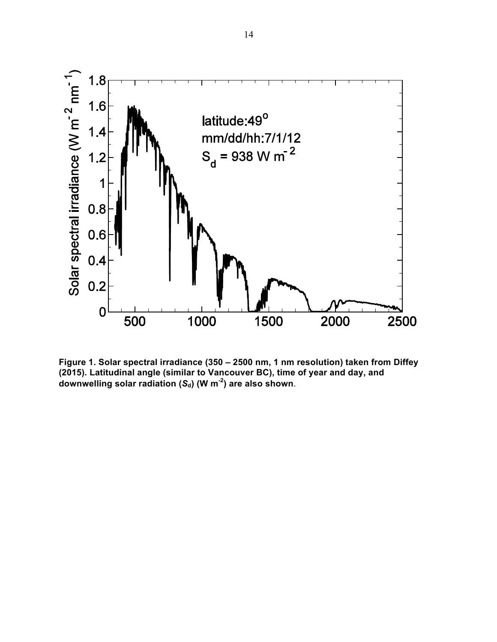

**Figure 1. Solar spectral irradiance (350 – 2500 nm, 1 nm resolution) taken from Diffey (2015). Latitudinal angle (similar to Vancouver BC), time of year and day, and**  downwelling solar radiation  $(S_d)$  (W m<sup>-2</sup>) are also shown.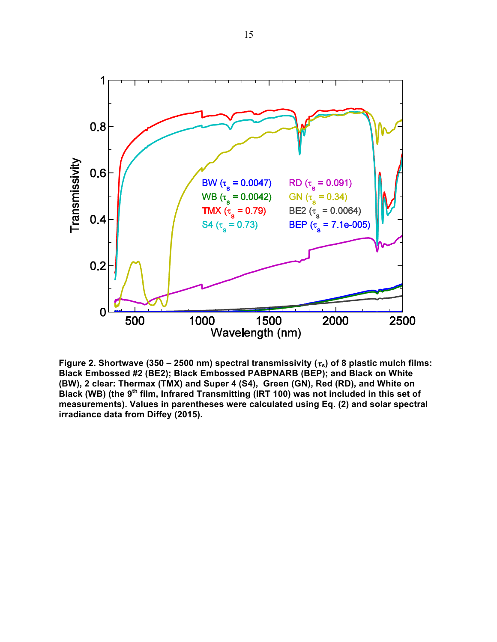

Figure 2. Shortwave (350 – 2500 nm) spectral transmissivity  $(\tau_s)$  of 8 plastic mulch films: **Black Embossed #2 (BE2); Black Embossed PABPNARB (BEP); and Black on White (BW), 2 clear: Thermax (TMX) and Super 4 (S4), Green (GN), Red (RD), and White on Black (WB) (the 9th film, Infrared Transmitting (IRT 100) was not included in this set of measurements). Values in parentheses were calculated using Eq. (2) and solar spectral irradiance data from Diffey (2015).**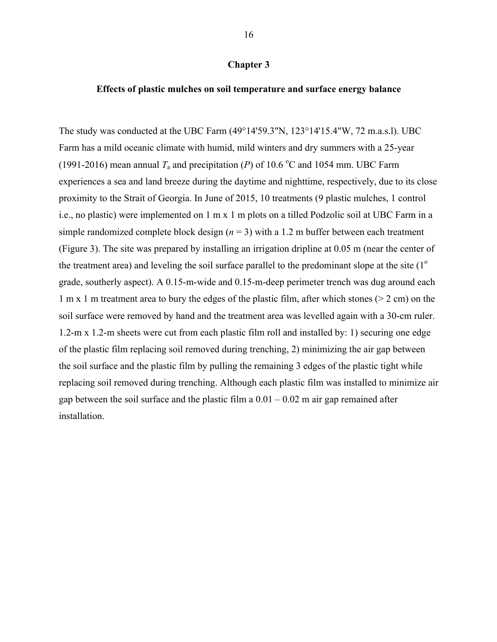#### **Chapter 3**

#### **Effects of plastic mulches on soil temperature and surface energy balance**

The study was conducted at the UBC Farm (49°14'59.3"N, 123°14'15.4"W, 72 m.a.s.l). UBC Farm has a mild oceanic climate with humid, mild winters and dry summers with a 25-year (1991-2016) mean annual  $T_a$  and precipitation (*P*) of 10.6 °C and 1054 mm. UBC Farm experiences a sea and land breeze during the daytime and nighttime, respectively, due to its close proximity to the Strait of Georgia. In June of 2015, 10 treatments (9 plastic mulches, 1 control i.e., no plastic) were implemented on 1 m x 1 m plots on a tilled Podzolic soil at UBC Farm in a simple randomized complete block design  $(n = 3)$  with a 1.2 m buffer between each treatment (Figure 3). The site was prepared by installing an irrigation dripline at 0.05 m (near the center of the treatment area) and leveling the soil surface parallel to the predominant slope at the site  $(1^{\circ}$ grade, southerly aspect). A 0.15-m-wide and 0.15-m-deep perimeter trench was dug around each 1 m x 1 m treatment area to bury the edges of the plastic film, after which stones (> 2 cm) on the soil surface were removed by hand and the treatment area was levelled again with a 30-cm ruler. 1.2-m x 1.2-m sheets were cut from each plastic film roll and installed by: 1) securing one edge of the plastic film replacing soil removed during trenching, 2) minimizing the air gap between the soil surface and the plastic film by pulling the remaining 3 edges of the plastic tight while replacing soil removed during trenching. Although each plastic film was installed to minimize air gap between the soil surface and the plastic film a  $0.01 - 0.02$  m air gap remained after installation.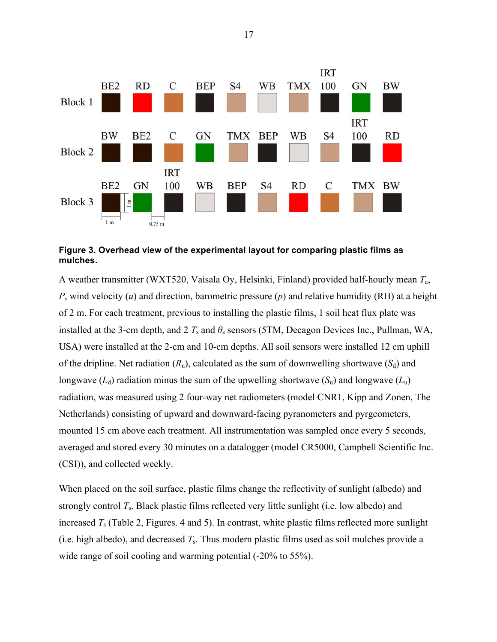

#### **Figure 3. Overhead view of the experimental layout for comparing plastic films as mulches.**

A weather transmitter (WXT520, Vaisala Oy, Helsinki, Finland) provided half-hourly mean *T*a, *P*, wind velocity (*u*) and direction, barometric pressure (*p*) and relative humidity (RH) at a height of 2 m. For each treatment, previous to installing the plastic films, 1 soil heat flux plate was installed at the 3-cm depth, and 2  $T_s$  and  $\theta_s$  sensors (5TM, Decagon Devices Inc., Pullman, WA, USA) were installed at the 2-cm and 10-cm depths. All soil sensors were installed 12 cm uphill of the dripline. Net radiation  $(R_n)$ , calculated as the sum of downwelling shortwave  $(S_d)$  and longwave  $(L_d)$  radiation minus the sum of the upwelling shortwave  $(S_u)$  and longwave  $(L_u)$ radiation, was measured using 2 four-way net radiometers (model CNR1, Kipp and Zonen, The Netherlands) consisting of upward and downward-facing pyranometers and pyrgeometers, mounted 15 cm above each treatment. All instrumentation was sampled once every 5 seconds, averaged and stored every 30 minutes on a datalogger (model CR5000, Campbell Scientific Inc. (CSI)), and collected weekly.

When placed on the soil surface, plastic films change the reflectivity of sunlight (albedo) and strongly control *T*s. Black plastic films reflected very little sunlight (i.e. low albedo) and increased *T*s (Table 2, Figures. 4 and 5). In contrast, white plastic films reflected more sunlight (i.e. high albedo), and decreased *T*s. Thus modern plastic films used as soil mulches provide a wide range of soil cooling and warming potential  $(-20\% \text{ to } 55\%).$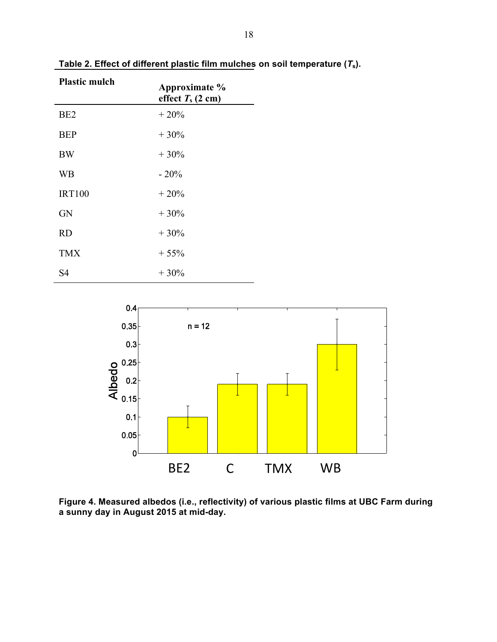| <b>Plastic mulch</b> | Approximate %<br>effect $T_s$ (2 cm) |
|----------------------|--------------------------------------|
| BE <sub>2</sub>      | $+20%$                               |
| <b>BEP</b>           | $+30%$                               |
| <b>BW</b>            | $+30%$                               |
| <b>WB</b>            | $-20%$                               |
| <b>IRT100</b>        | $+20%$                               |
| <b>GN</b>            | $+30%$                               |
| <b>RD</b>            | $+30%$                               |
| <b>TMX</b>           | $+55%$                               |
| S4                   | $+30%$                               |

Table 2. Effect of different plastic film mulches on soil temperature  $(T_s)$ .



**Figure 4. Measured albedos (i.e., reflectivity) of various plastic films at UBC Farm during a sunny day in August 2015 at mid-day.**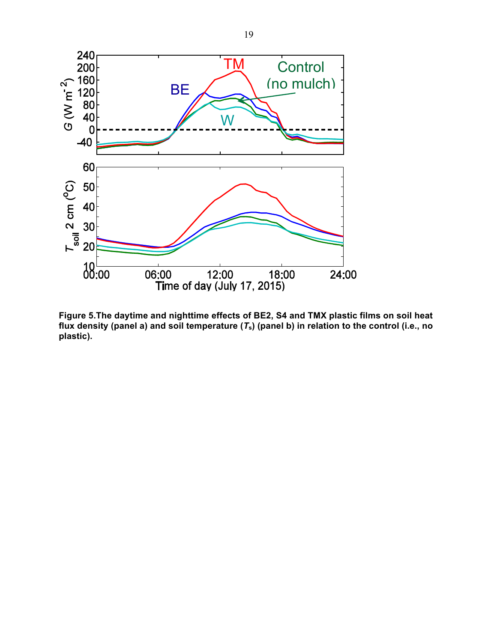

**Figure 5.The daytime and nighttime effects of BE2, S4 and TMX plastic films on soil heat flux density (panel a) and soil temperature (***T***s) (panel b) in relation to the control (i.e., no plastic).**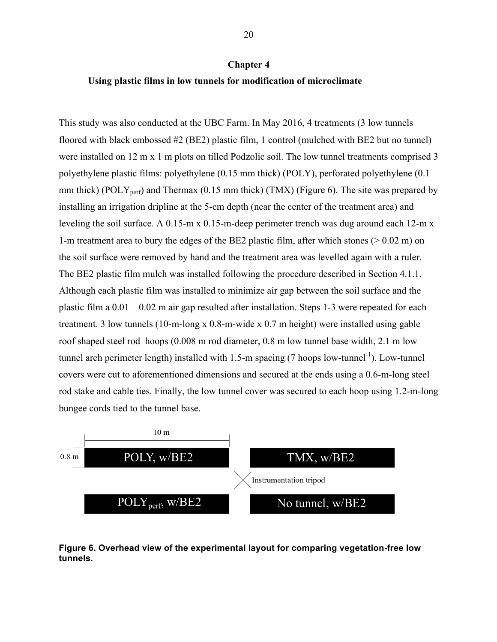#### **Chapter 4**

#### **Using plastic films in low tunnels for modification of microclimate**

This study was also conducted at the UBC Farm. In May 2016, 4 treatments (3 low tunnels floored with black embossed #2 (BE2) plastic film, 1 control (mulched with BE2 but no tunnel) were installed on 12 m x 1 m plots on tilled Podzolic soil. The low tunnel treatments comprised 3 polyethylene plastic films: polyethylene (0.15 mm thick) (POLY), perforated polyethylene (0.1 mm thick) (POLY<sub>perf</sub>) and Thermax (0.15 mm thick) (TMX) (Figure 6). The site was prepared by installing an irrigation dripline at the 5-cm depth (near the center of the treatment area) and leveling the soil surface. A 0.15-m x 0.15-m-deep perimeter trench was dug around each 12-m x 1-m treatment area to bury the edges of the BE2 plastic film, after which stones (> 0.02 m) on the soil surface were removed by hand and the treatment area was levelled again with a ruler. The BE2 plastic film mulch was installed following the procedure described in Section 4.1.1. Although each plastic film was installed to minimize air gap between the soil surface and the plastic film a 0.01 – 0.02 m air gap resulted after installation. Steps 1-3 were repeated for each treatment. 3 low tunnels (10-m-long x 0.8-m-wide x 0.7 m height) were installed using gable roof shaped steel rod hoops (0.008 m rod diameter, 0.8 m low tunnel base width, 2.1 m low tunnel arch perimeter length) installed with 1.5-m spacing  $(7 \text{ loops low-tunnel}^{-1})$ . Low-tunnel covers were cut to aforementioned dimensions and secured at the ends using a 0.6-m-long steel rod stake and cable ties. Finally, the low tunnel cover was secured to each hoop using 1.2-m-long bungee cords tied to the tunnel base.



**Figure 6. Overhead view of the experimental layout for comparing vegetation-free low tunnels.**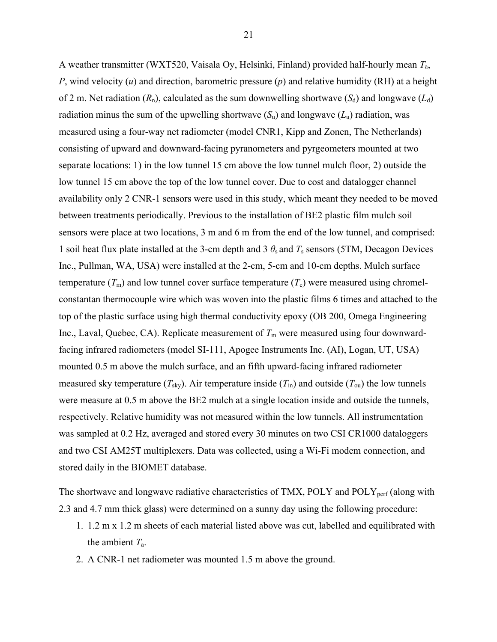A weather transmitter (WXT520, Vaisala Oy, Helsinki, Finland) provided half-hourly mean *T*a, *P*, wind velocity (*u*) and direction, barometric pressure (*p*) and relative humidity (RH) at a height of 2 m. Net radiation  $(R_n)$ , calculated as the sum downwelling shortwave  $(S_d)$  and longwave  $(L_d)$ radiation minus the sum of the upwelling shortwave  $(S_u)$  and longwave  $(L_u)$  radiation, was measured using a four-way net radiometer (model CNR1, Kipp and Zonen, The Netherlands) consisting of upward and downward-facing pyranometers and pyrgeometers mounted at two separate locations: 1) in the low tunnel 15 cm above the low tunnel mulch floor, 2) outside the low tunnel 15 cm above the top of the low tunnel cover. Due to cost and datalogger channel availability only 2 CNR-1 sensors were used in this study, which meant they needed to be moved between treatments periodically. Previous to the installation of BE2 plastic film mulch soil sensors were place at two locations, 3 m and 6 m from the end of the low tunnel, and comprised: 1 soil heat flux plate installed at the 3-cm depth and 3  $\theta_s$  and  $T_s$  sensors (5TM, Decagon Devices Inc., Pullman, WA, USA) were installed at the 2-cm, 5-cm and 10-cm depths. Mulch surface temperature  $(T_m)$  and low tunnel cover surface temperature  $(T_c)$  were measured using chromelconstantan thermocouple wire which was woven into the plastic films 6 times and attached to the top of the plastic surface using high thermal conductivity epoxy (OB 200, Omega Engineering Inc., Laval, Quebec, CA). Replicate measurement of  $T<sub>m</sub>$  were measured using four downwardfacing infrared radiometers (model SI-111, Apogee Instruments Inc. (AI), Logan, UT, USA) mounted 0.5 m above the mulch surface, and an fifth upward-facing infrared radiometer measured sky temperature ( $T_{\text{sky}}$ ). Air temperature inside ( $T_{\text{in}}$ ) and outside ( $T_{\text{ou}}$ ) the low tunnels were measure at 0.5 m above the BE2 mulch at a single location inside and outside the tunnels, respectively. Relative humidity was not measured within the low tunnels. All instrumentation was sampled at 0.2 Hz, averaged and stored every 30 minutes on two CSI CR1000 dataloggers and two CSI AM25T multiplexers. Data was collected, using a Wi-Fi modem connection, and stored daily in the BIOMET database.

The shortwave and longwave radiative characteristics of TMX, POLY and POLY<sub>perf</sub> (along with 2.3 and 4.7 mm thick glass) were determined on a sunny day using the following procedure:

- 1. 1.2 m x 1.2 m sheets of each material listed above was cut, labelled and equilibrated with the ambient *T*a.
- 2. A CNR-1 net radiometer was mounted 1.5 m above the ground.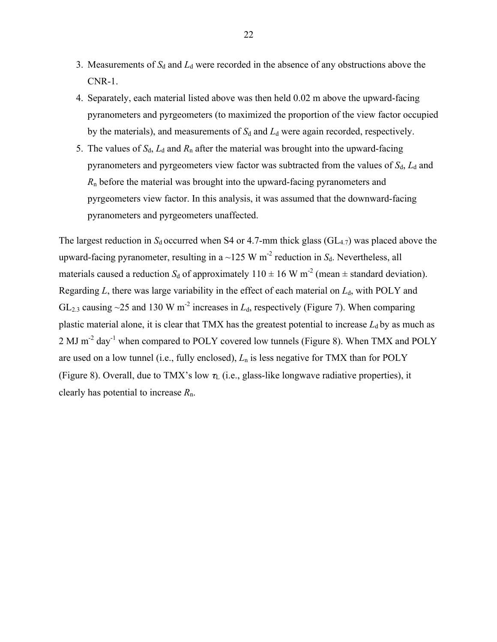- 3. Measurements of  $S_d$  and  $L_d$  were recorded in the absence of any obstructions above the CNR-1.
- 4. Separately, each material listed above was then held 0.02 m above the upward-facing pyranometers and pyrgeometers (to maximized the proportion of the view factor occupied by the materials), and measurements of  $S_d$  and  $L_d$  were again recorded, respectively.
- 5. The values of  $S_d$ ,  $L_d$  and  $R_n$  after the material was brought into the upward-facing pyranometers and pyrgeometers view factor was subtracted from the values of  $S_d$ ,  $L_d$  and *R*n before the material was brought into the upward-facing pyranometers and pyrgeometers view factor. In this analysis, it was assumed that the downward-facing pyranometers and pyrgeometers unaffected.

The largest reduction in  $S_d$  occurred when S4 or 4.7-mm thick glass ( $GL_{4,7}$ ) was placed above the upward-facing pyranometer, resulting in a  $\sim$ 125 W m<sup>-2</sup> reduction in  $S_d$ . Nevertheless, all materials caused a reduction  $S_d$  of approximately  $110 \pm 16$  W m<sup>-2</sup> (mean  $\pm$  standard deviation). Regarding  $L$ , there was large variability in the effect of each material on  $L<sub>d</sub>$ , with POLY and GL<sub>2.3</sub> causing ~25 and 130 W m<sup>-2</sup> increases in  $L_d$ , respectively (Figure 7). When comparing plastic material alone, it is clear that TMX has the greatest potential to increase  $L_d$  by as much as 2 MJ m-2 day-1 when compared to POLY covered low tunnels (Figure 8). When TMX and POLY are used on a low tunnel (i.e., fully enclosed), *L*n is less negative for TMX than for POLY (Figure 8). Overall, due to TMX's low  $\tau_L$  (i.e., glass-like longwave radiative properties), it clearly has potential to increase *R*n.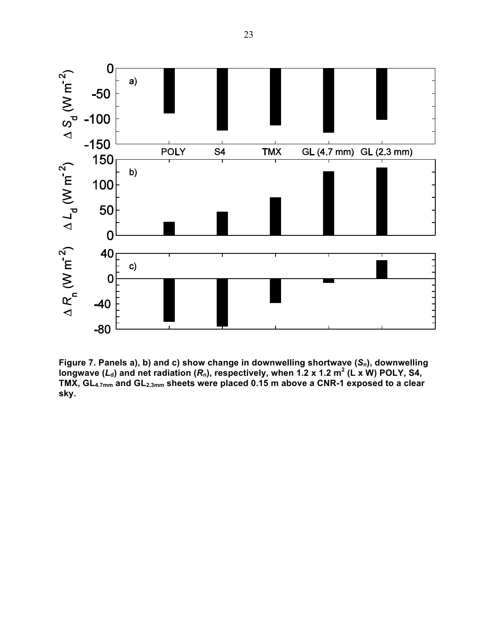

**Figure 7. Panels a), b) and c) show change in downwelling shortwave (***S***n), downwelling**  longwave  $(L_d)$  and net radiation  $(R_n)$ , respectively, when 1.2 x 1.2 m<sup>2</sup> (L x W) POLY, S4, **TMX, GL4.7mm and GL2.3mm sheets were placed 0.15 m above a CNR-1 exposed to a clear sky.**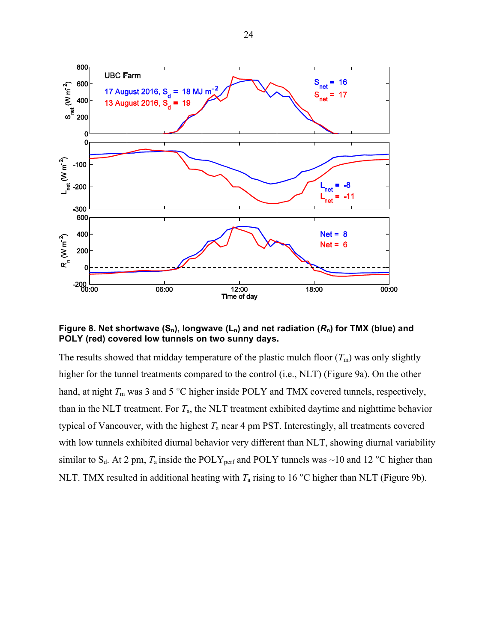

Figure 8. Net shortwave  $(S_n)$ , longwave  $(L_n)$  and net radiation  $(R_n)$  for TMX (blue) and **POLY (red) covered low tunnels on two sunny days.**

The results showed that midday temperature of the plastic mulch floor  $(T_m)$  was only slightly higher for the tunnel treatments compared to the control (i.e., NLT) (Figure 9a). On the other hand, at night  $T_m$  was 3 and 5 °C higher inside POLY and TMX covered tunnels, respectively, than in the NLT treatment. For *T*a, the NLT treatment exhibited daytime and nighttime behavior typical of Vancouver, with the highest *T*a near 4 pm PST. Interestingly, all treatments covered with low tunnels exhibited diurnal behavior very different than NLT, showing diurnal variability similar to S<sub>d</sub>. At 2 pm,  $T_a$  inside the POLY<sub>perf</sub> and POLY tunnels was ~10 and 12 °C higher than NLT. TMX resulted in additional heating with  $T_a$  rising to 16 °C higher than NLT (Figure 9b).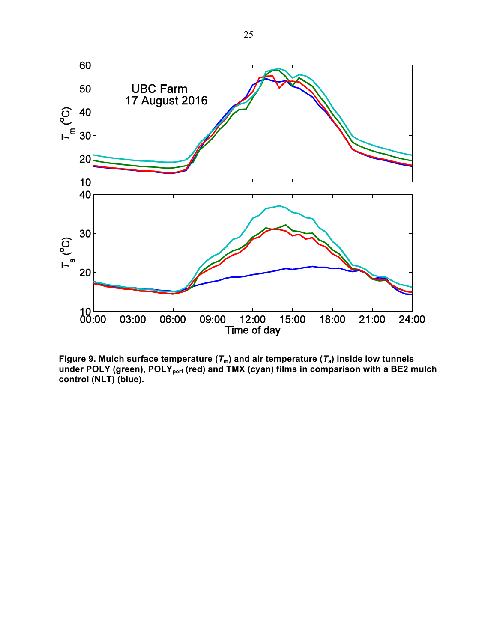

**Figure 9. Mulch surface temperature (***T***m) and air temperature (***T***a) inside low tunnels**  under POLY (green), POLY<sub>perf</sub> (red) and TMX (cyan) films in comparison with a BE2 mulch **control (NLT) (blue).**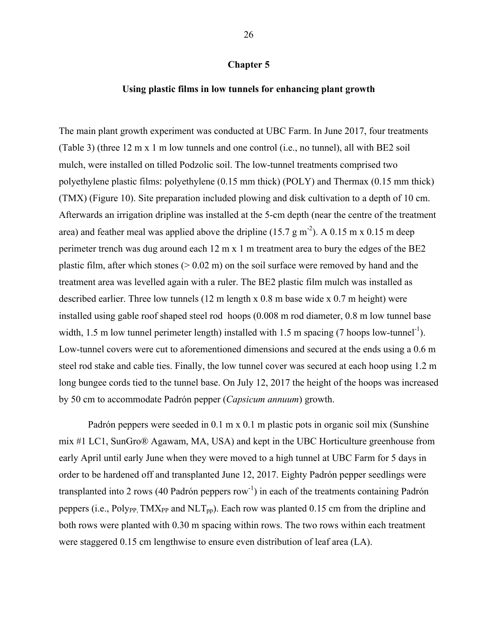#### **Using plastic films in low tunnels for enhancing plant growth**

The main plant growth experiment was conducted at UBC Farm. In June 2017, four treatments (Table 3) (three 12 m x 1 m low tunnels and one control (i.e., no tunnel), all with BE2 soil mulch, were installed on tilled Podzolic soil. The low-tunnel treatments comprised two polyethylene plastic films: polyethylene (0.15 mm thick) (POLY) and Thermax (0.15 mm thick) (TMX) (Figure 10). Site preparation included plowing and disk cultivation to a depth of 10 cm. Afterwards an irrigation dripline was installed at the 5-cm depth (near the centre of the treatment area) and feather meal was applied above the dripline (15.7 g m<sup>-2</sup>). A 0.15 m x 0.15 m deep perimeter trench was dug around each 12 m x 1 m treatment area to bury the edges of the BE2 plastic film, after which stones ( $> 0.02$  m) on the soil surface were removed by hand and the treatment area was levelled again with a ruler. The BE2 plastic film mulch was installed as described earlier. Three low tunnels (12 m length x 0.8 m base wide x 0.7 m height) were installed using gable roof shaped steel rod hoops (0.008 m rod diameter, 0.8 m low tunnel base width, 1.5 m low tunnel perimeter length) installed with 1.5 m spacing  $(7 \text{ loops low-tunnel}^{-1})$ . Low-tunnel covers were cut to aforementioned dimensions and secured at the ends using a 0.6 m steel rod stake and cable ties. Finally, the low tunnel cover was secured at each hoop using 1.2 m long bungee cords tied to the tunnel base. On July 12, 2017 the height of the hoops was increased by 50 cm to accommodate Padrón pepper (*Capsicum annuum*) growth.

Padrón peppers were seeded in 0.1 m x 0.1 m plastic pots in organic soil mix (Sunshine mix #1 LC1, SunGro® Agawam, MA, USA) and kept in the UBC Horticulture greenhouse from early April until early June when they were moved to a high tunnel at UBC Farm for 5 days in order to be hardened off and transplanted June 12, 2017. Eighty Padrón pepper seedlings were transplanted into 2 rows (40 Padrón peppers row<sup>-1</sup>) in each of the treatments containing Padrón peppers (i.e., Polypp, TMX<sub>PP</sub> and NLT<sub>pp</sub>). Each row was planted 0.15 cm from the dripline and both rows were planted with 0.30 m spacing within rows. The two rows within each treatment were staggered 0.15 cm lengthwise to ensure even distribution of leaf area (LA).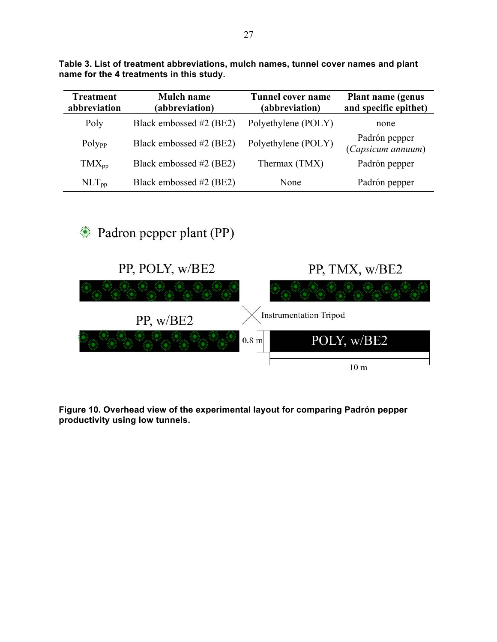| <b>Treatment</b><br>abbreviation | <b>Mulch name</b><br>(abbreviation) | <b>Tunnel cover name</b><br>(abbreviation) | <b>Plant name (genus)</b><br>and specific epithet) |
|----------------------------------|-------------------------------------|--------------------------------------------|----------------------------------------------------|
| Poly                             | Black embossed #2 (BE2)             | Polyethylene (POLY)                        | none                                               |
| Poly <sub>pp</sub>               | Black embossed #2 (BE2)             | Polyethylene (POLY)                        | Padrón pepper<br>(Capsicum annuum)                 |
| $TMX_{pp}$                       | Black embossed #2 (BE2)             | Thermax (TMX)                              | Padrón pepper                                      |
| $NLT_{pp}$                       | Black embossed #2 (BE2)             | None                                       | Padrón pepper                                      |

**Table 3. List of treatment abbreviations, mulch names, tunnel cover names and plant name for the 4 treatments in this study.**

Padron pepper plant (PP)



**Figure 10. Overhead view of the experimental layout for comparing Padrón pepper productivity using low tunnels.**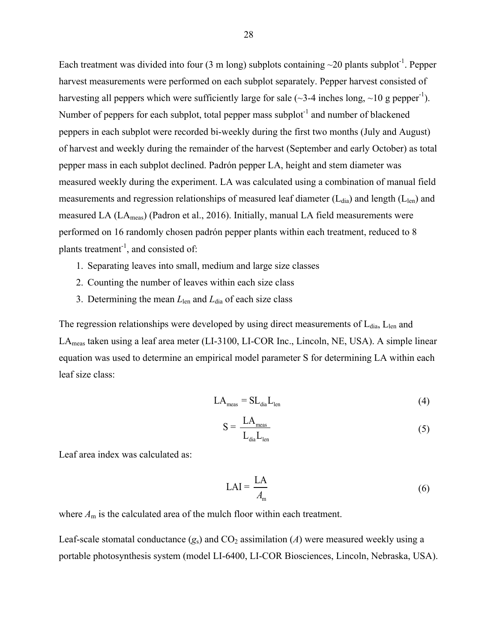Each treatment was divided into four (3 m long) subplots containing  $\sim$ 20 plants subplot<sup>-1</sup>. Pepper harvest measurements were performed on each subplot separately. Pepper harvest consisted of harvesting all peppers which were sufficiently large for sale ( $\sim$ 3-4 inches long,  $\sim$ 10 g pepper<sup>-1</sup>). Number of peppers for each subplot, total pepper mass subplot<sup>-1</sup> and number of blackened peppers in each subplot were recorded bi-weekly during the first two months (July and August) of harvest and weekly during the remainder of the harvest (September and early October) as total pepper mass in each subplot declined. Padrón pepper LA, height and stem diameter was measured weekly during the experiment. LA was calculated using a combination of manual field measurements and regression relationships of measured leaf diameter  $(L_{dia})$  and length  $(L_{len})$  and measured LA (LAmeas) (Padron et al., 2016). Initially, manual LA field measurements were performed on 16 randomly chosen padrón pepper plants within each treatment, reduced to 8 plants treatment<sup>-1</sup>, and consisted of:

- 1. Separating leaves into small, medium and large size classes
- 2. Counting the number of leaves within each size class
- 3. Determining the mean *L*len and *L*dia of each size class

The regression relationships were developed by using direct measurements of  $L_{dia}$ ,  $L_{len}$  and LAmeas taken using a leaf area meter (LI-3100, LI-COR Inc., Lincoln, NE, USA). A simple linear equation was used to determine an empirical model parameter S for determining LA within each leaf size class:

$$
LA_{\text{meas}} = SL_{\text{dia}}L_{\text{len}} \tag{4}
$$

$$
S = \frac{LA_{\text{meas}}}{L_{\text{dia}}L_{\text{len}}}
$$
 (5)

Leaf area index was calculated as:

$$
LAI = \frac{LA}{A_m}
$$
 (6)

where  $A_m$  is the calculated area of the mulch floor within each treatment.

Leaf-scale stomatal conductance  $(g_s)$  and  $CO_2$  assimilation (*A*) were measured weekly using a portable photosynthesis system (model LI-6400, LI-COR Biosciences, Lincoln, Nebraska, USA).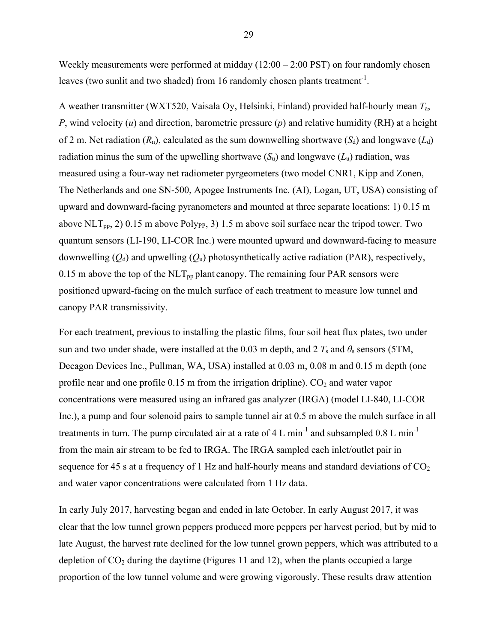Weekly measurements were performed at midday (12:00 – 2:00 PST) on four randomly chosen leaves (two sunlit and two shaded) from 16 randomly chosen plants treatment<sup>-1</sup>.

A weather transmitter (WXT520, Vaisala Oy, Helsinki, Finland) provided half-hourly mean *T*a, *P*, wind velocity (*u*) and direction, barometric pressure (*p*) and relative humidity (RH) at a height of 2 m. Net radiation  $(R_n)$ , calculated as the sum downwelling shortwave  $(S_d)$  and longwave  $(L_d)$ radiation minus the sum of the upwelling shortwave  $(S_u)$  and longwave  $(L_u)$  radiation, was measured using a four-way net radiometer pyrgeometers (two model CNR1, Kipp and Zonen, The Netherlands and one SN-500, Apogee Instruments Inc. (AI), Logan, UT, USA) consisting of upward and downward-facing pyranometers and mounted at three separate locations: 1) 0.15 m above NLT<sub>pp</sub>, 2) 0.15 m above Poly<sub>PP</sub>, 3) 1.5 m above soil surface near the tripod tower. Two quantum sensors (LI-190, LI-COR Inc.) were mounted upward and downward-facing to measure downwelling  $(Q_d)$  and upwelling  $(Q_u)$  photosynthetically active radiation (PAR), respectively, 0.15 m above the top of the  $NLT_{\text{pp}}$  plant canopy. The remaining four PAR sensors were positioned upward-facing on the mulch surface of each treatment to measure low tunnel and canopy PAR transmissivity.

For each treatment, previous to installing the plastic films, four soil heat flux plates, two under sun and two under shade, were installed at the 0.03 m depth, and 2  $T_s$  and  $\theta_s$  sensors (5TM, Decagon Devices Inc., Pullman, WA, USA) installed at 0.03 m, 0.08 m and 0.15 m depth (one profile near and one profile  $0.15$  m from the irrigation dripline).  $CO<sub>2</sub>$  and water vapor concentrations were measured using an infrared gas analyzer (IRGA) (model LI-840, LI-COR Inc.), a pump and four solenoid pairs to sample tunnel air at 0.5 m above the mulch surface in all treatments in turn. The pump circulated air at a rate of 4 L min<sup>-1</sup> and subsampled  $0.8$  L min<sup>-1</sup> from the main air stream to be fed to IRGA. The IRGA sampled each inlet/outlet pair in sequence for 45 s at a frequency of 1 Hz and half-hourly means and standard deviations of  $CO<sub>2</sub>$ and water vapor concentrations were calculated from 1 Hz data.

In early July 2017, harvesting began and ended in late October. In early August 2017, it was clear that the low tunnel grown peppers produced more peppers per harvest period, but by mid to late August, the harvest rate declined for the low tunnel grown peppers, which was attributed to a depletion of  $CO<sub>2</sub>$  during the daytime (Figures 11 and 12), when the plants occupied a large proportion of the low tunnel volume and were growing vigorously. These results draw attention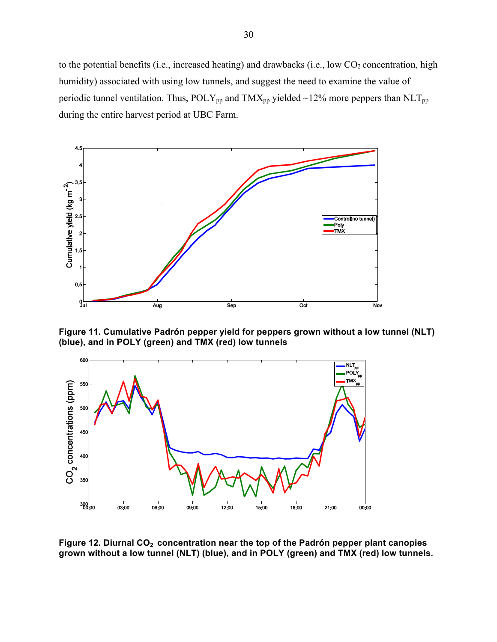to the potential benefits (i.e., increased heating) and drawbacks (i.e., low  $CO<sub>2</sub>$  concentration, high humidity) associated with using low tunnels, and suggest the need to examine the value of periodic tunnel ventilation. Thus,  $POLY_{pp}$  and  $TMX_{pp}$  yielded ~12% more peppers than  $NLT_{pp}$ during the entire harvest period at UBC Farm.



**Figure 11. Cumulative Padrón pepper yield for peppers grown without a low tunnel (NLT) (blue), and in POLY (green) and TMX (red) low tunnels**



Figure 12. Diurnal CO<sub>2</sub> concentration near the top of the Padrón pepper plant canopies **grown without a low tunnel (NLT) (blue), and in POLY (green) and TMX (red) low tunnels.**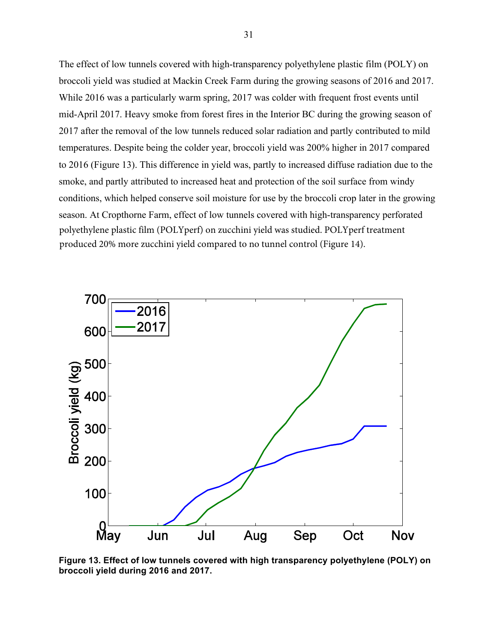The effect of low tunnels covered with high-transparency polyethylene plastic film (POLY) on broccoli yield was studied at Mackin Creek Farm during the growing seasons of 2016 and 2017. While 2016 was a particularly warm spring, 2017 was colder with frequent frost events until mid-April 2017. Heavy smoke from forest fires in the Interior BC during the growing season of 2017 after the removal of the low tunnels reduced solar radiation and partly contributed to mild temperatures. Despite being the colder year, broccoli yield was 200% higher in 2017 compared to 2016 (Figure 13). This difference in yield was, partly to increased diffuse radiation due to the smoke, and partly attributed to increased heat and protection of the soil surface from windy conditions, which helped conserve soil moisture for use by the broccoli crop later in the growing season. At Cropthorne Farm, effect of low tunnels covered with high-transparency perforated polyethylene plastic film (POLYperf) on zucchini yield was studied. POLYperf treatment produced 20% more zucchini yield compared to no tunnel control (Figure 14).



**Figure 13. Effect of low tunnels covered with high transparency polyethylene (POLY) on broccoli yield during 2016 and 2017.**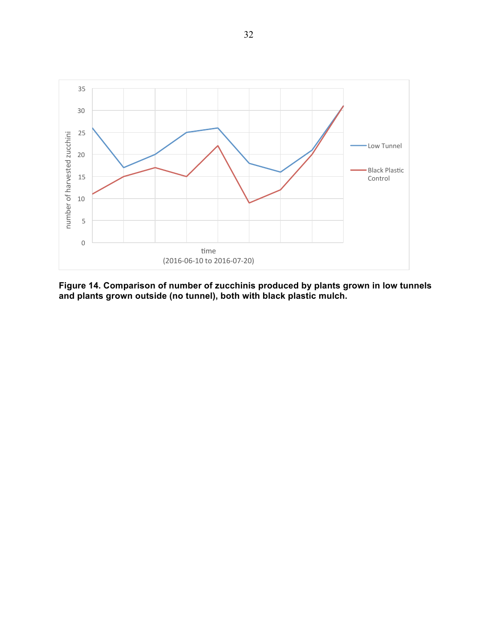

**Figure 14. Comparison of number of zucchinis produced by plants grown in low tunnels and plants grown outside (no tunnel), both with black plastic mulch.**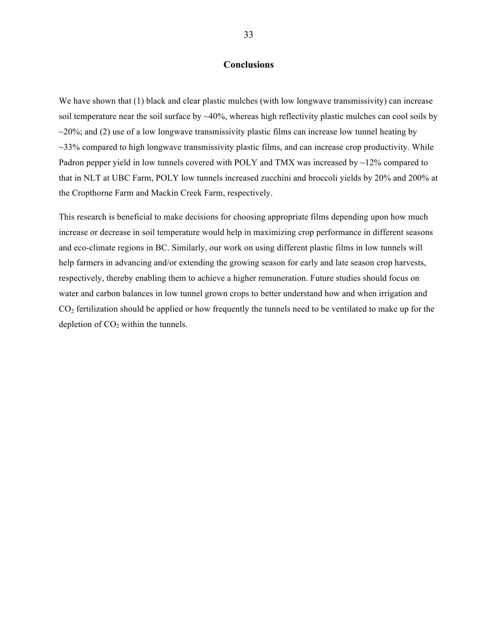#### **Conclusions**

We have shown that (1) black and clear plastic mulches (with low longwave transmissivity) can increase soil temperature near the soil surface by ~40%, whereas high reflectivity plastic mulches can cool soils by  $\sim$ 20%; and (2) use of a low longwave transmissivity plastic films can increase low tunnel heating by ~33% compared to high longwave transmissivity plastic films, and can increase crop productivity. While Padron pepper yield in low tunnels covered with POLY and TMX was increased by  $\sim$ 12% compared to that in NLT at UBC Farm, POLY low tunnels increased zucchini and broccoli yields by 20% and 200% at the Cropthorne Farm and Mackin Creek Farm, respectively.

This research is beneficial to make decisions for choosing appropriate films depending upon how much increase or decrease in soil temperature would help in maximizing crop performance in different seasons and eco-climate regions in BC. Similarly, our work on using different plastic films in low tunnels will help farmers in advancing and/or extending the growing season for early and late season crop harvests, respectively, thereby enabling them to achieve a higher remuneration. Future studies should focus on water and carbon balances in low tunnel grown crops to better understand how and when irrigation and  $CO<sub>2</sub>$  fertilization should be applied or how frequently the tunnels need to be ventilated to make up for the depletion of  $CO<sub>2</sub>$  within the tunnels.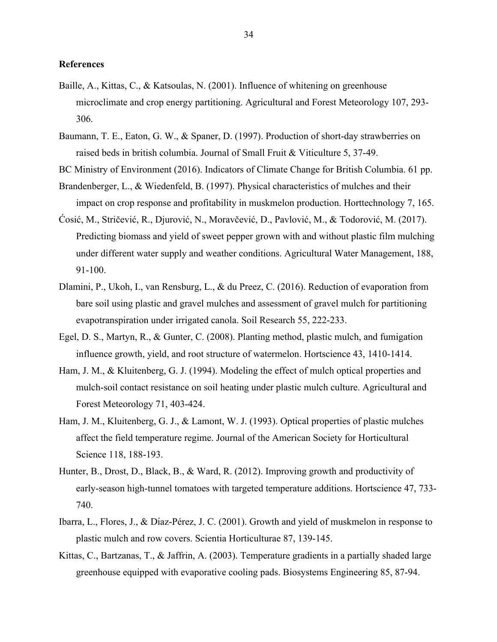#### **References**

- Baille, A., Kittas, C., & Katsoulas, N. (2001). Influence of whitening on greenhouse microclimate and crop energy partitioning. Agricultural and Forest Meteorology 107, 293- 306.
- Baumann, T. E., Eaton, G. W., & Spaner, D. (1997). Production of short-day strawberries on raised beds in british columbia. Journal of Small Fruit & Viticulture 5, 37-49.

BC Ministry of Environment (2016). Indicators of Climate Change for British Columbia. 61 pp.

- Brandenberger, L., & Wiedenfeld, B. (1997). Physical characteristics of mulches and their impact on crop response and profitability in muskmelon production. Horttechnology 7, 165.
- Ćosić, M., Stričević, R., Djurović, N., Moravčević, D., Pavlović, M., & Todorović, M. (2017). Predicting biomass and yield of sweet pepper grown with and without plastic film mulching under different water supply and weather conditions. Agricultural Water Management, 188, 91-100.
- Dlamini, P., Ukoh, I., van Rensburg, L., & du Preez, C. (2016). Reduction of evaporation from bare soil using plastic and gravel mulches and assessment of gravel mulch for partitioning evapotranspiration under irrigated canola. Soil Research 55, 222-233.
- Egel, D. S., Martyn, R., & Gunter, C. (2008). Planting method, plastic mulch, and fumigation influence growth, yield, and root structure of watermelon. Hortscience 43, 1410-1414.
- Ham, J. M., & Kluitenberg, G. J. (1994). Modeling the effect of mulch optical properties and mulch-soil contact resistance on soil heating under plastic mulch culture. Agricultural and Forest Meteorology 71, 403-424.
- Ham, J. M., Kluitenberg, G. J., & Lamont, W. J. (1993). Optical properties of plastic mulches affect the field temperature regime. Journal of the American Society for Horticultural Science 118, 188-193.
- Hunter, B., Drost, D., Black, B., & Ward, R. (2012). Improving growth and productivity of early-season high-tunnel tomatoes with targeted temperature additions. Hortscience 47, 733- 740.
- Ibarra, L., Flores, J., & Dı́ az-Pérez, J. C. (2001). Growth and yield of muskmelon in response to plastic mulch and row covers. Scientia Horticulturae 87, 139-145.
- Kittas, C., Bartzanas, T., & Jaffrin, A. (2003). Temperature gradients in a partially shaded large greenhouse equipped with evaporative cooling pads. Biosystems Engineering 85, 87-94.